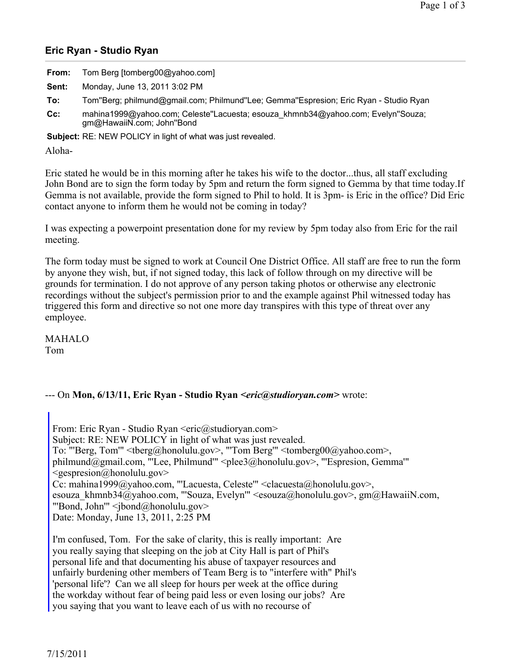## **Eric Ryan - Studio Ryan**

| From: | Tom Berg [tomberg00@yahoo.com] |
|-------|--------------------------------|
|       |                                |

**Sent:** Monday, June 13, 2011 3:02 PM

- **To:** Tom''Berg; philmund@gmail.com; Philmund''Lee; Gemma''Espresion; Eric Ryan Studio Ryan
- **Cc:** mahina1999@yahoo.com; Celeste''Lacuesta; esouza\_khmnb34@yahoo.com; Evelyn''Souza; gm@HawaiiN.com; John''Bond

**Subject:** RE: NEW POLICY in light of what was just revealed.

Aloha-

Eric stated he would be in this morning after he takes his wife to the doctor...thus, all staff excluding John Bond are to sign the form today by 5pm and return the form signed to Gemma by that time today.If Gemma is not available, provide the form signed to Phil to hold. It is 3pm- is Eric in the office? Did Eric contact anyone to inform them he would not be coming in today?

I was expecting a powerpoint presentation done for my review by 5pm today also from Eric for the rail meeting.

The form today must be signed to work at Council One District Office. All staff are free to run the form by anyone they wish, but, if not signed today, this lack of follow through on my directive will be grounds for termination. I do not approve of any person taking photos or otherwise any electronic recordings without the subject's permission prior to and the example against Phil witnessed today has triggered this form and directive so not one more day transpires with this type of threat over any employee.

MAHALO Tom

## --- On **Mon, 6/13/11, Eric Ryan - Studio Ryan** *<eric@studioryan.com>* wrote:

From: Eric Ryan - Studio Ryan <eric@studioryan.com> Subject: RE: NEW POLICY in light of what was just revealed. To: "'Berg, Tom'" <tberg@honolulu.gov>, "'Tom Berg'" <tomberg00@yahoo.com>, philmund@gmail.com, "'Lee, Philmund'" <plee3@honolulu.gov>, "'Espresion, Gemma'"  $\leq$ gespresion@honolulu.gov> Cc: mahina1999@yahoo.com, "'Lacuesta, Celeste'" <clacuesta@honolulu.gov>, esouza khmnb34@yahoo.com, "'Souza, Evelyn'" <esouza@honolulu.gov>, gm@HawaiiN.com, "'Bond, John'" <jbond@honolulu.gov> Date: Monday, June 13, 2011, 2:25 PM

I'm confused, Tom. For the sake of clarity, this is really important: Are you really saying that sleeping on the job at City Hall is part of Phil's personal life and that documenting his abuse of taxpayer resources and unfairly burdening other members of Team Berg is to "interfere with" Phil's 'personal life'? Can we all sleep for hours per week at the office during the workday without fear of being paid less or even losing our jobs? Are you saying that you want to leave each of us with no recourse of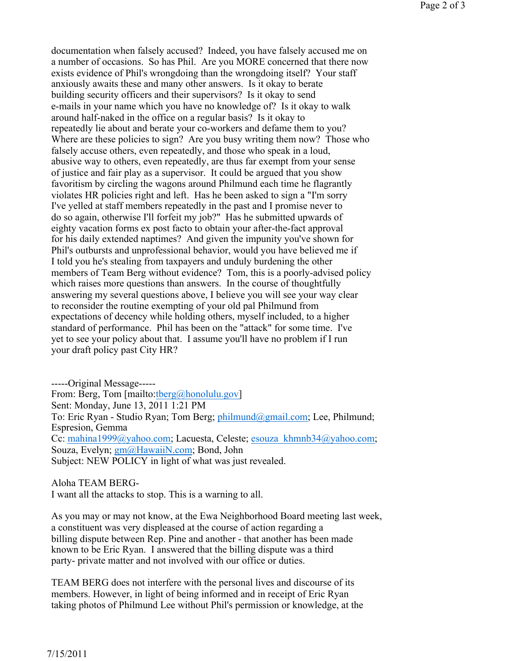documentation when falsely accused? Indeed, you have falsely accused me on a number of occasions. So has Phil. Are you MORE concerned that there now exists evidence of Phil's wrongdoing than the wrongdoing itself? Your staff anxiously awaits these and many other answers. Is it okay to berate building security officers and their supervisors? Is it okay to send e-mails in your name which you have no knowledge of? Is it okay to walk around half-naked in the office on a regular basis? Is it okay to repeatedly lie about and berate your co-workers and defame them to you? Where are these policies to sign? Are you busy writing them now? Those who falsely accuse others, even repeatedly, and those who speak in a loud, abusive way to others, even repeatedly, are thus far exempt from your sense of justice and fair play as a supervisor. It could be argued that you show favoritism by circling the wagons around Philmund each time he flagrantly violates HR policies right and left. Has he been asked to sign a "I'm sorry I've yelled at staff members repeatedly in the past and I promise never to do so again, otherwise I'll forfeit my job?" Has he submitted upwards of eighty vacation forms ex post facto to obtain your after-the-fact approval for his daily extended naptimes? And given the impunity you've shown for Phil's outbursts and unprofessional behavior, would you have believed me if I told you he's stealing from taxpayers and unduly burdening the other members of Team Berg without evidence? Tom, this is a poorly-advised policy which raises more questions than answers. In the course of thoughtfully answering my several questions above, I believe you will see your way clear to reconsider the routine exempting of your old pal Philmund from expectations of decency while holding others, myself included, to a higher standard of performance. Phil has been on the "attack" for some time. I've yet to see your policy about that. I assume you'll have no problem if I run your draft policy past City HR?

-----Original Message----- From: Berg, Tom [mailto:tberg@honolulu.gov] Sent: Monday, June 13, 2011 1:21 PM To: Eric Ryan - Studio Ryan; Tom Berg; philmund@gmail.com; Lee, Philmund; Espresion, Gemma Cc: mahina1999@yahoo.com; Lacuesta, Celeste; esouza\_khmnb34@yahoo.com; Souza, Evelyn; gm@HawaiiN.com; Bond, John Subject: NEW POLICY in light of what was just revealed.

Aloha TEAM BERG-

I want all the attacks to stop. This is a warning to all.

As you may or may not know, at the Ewa Neighborhood Board meeting last week, a constituent was very displeased at the course of action regarding a billing dispute between Rep. Pine and another - that another has been made known to be Eric Ryan. I answered that the billing dispute was a third party- private matter and not involved with our office or duties.

TEAM BERG does not interfere with the personal lives and discourse of its members. However, in light of being informed and in receipt of Eric Ryan taking photos of Philmund Lee without Phil's permission or knowledge, at the